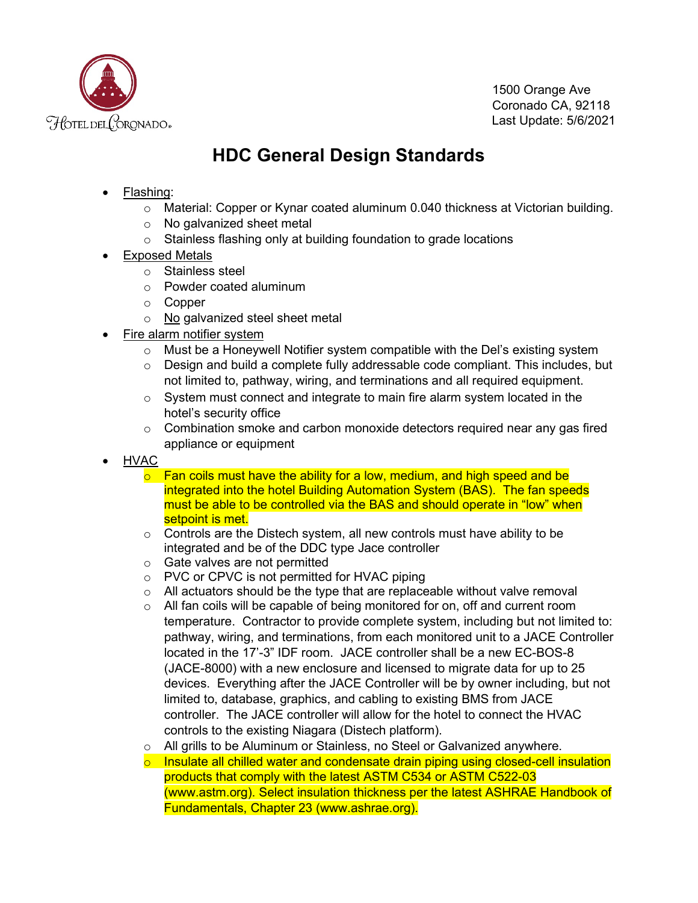

1500 Orange Ave Coronado CA, 92118 Last Update: 5/6/2021

## **HDC General Design Standards**

- Flashing:
	- $\circ$  Material: Copper or Kynar coated aluminum 0.040 thickness at Victorian building.
	- o No galvanized sheet metal
	- o Stainless flashing only at building foundation to grade locations
- Exposed Metals
	- o Stainless steel
	- o Powder coated aluminum
	- o Copper
	- o No galvanized steel sheet metal
- Fire alarm notifier system
	- $\circ$  Must be a Honeywell Notifier system compatible with the Del's existing system
	- $\circ$  Design and build a complete fully addressable code compliant. This includes, but not limited to, pathway, wiring, and terminations and all required equipment.
	- $\circ$  System must connect and integrate to main fire alarm system located in the hotel's security office
	- $\circ$  Combination smoke and carbon monoxide detectors required near any gas fired appliance or equipment
- HVAC
	- $\circ$  Fan coils must have the ability for a low, medium, and high speed and be integrated into the hotel Building Automation System (BAS). The fan speeds must be able to be controlled via the BAS and should operate in "low" when setpoint is met.
	- $\circ$  Controls are the Distech system, all new controls must have ability to be integrated and be of the DDC type Jace controller
	- o Gate valves are not permitted
	- o PVC or CPVC is not permitted for HVAC piping
	- $\circ$  All actuators should be the type that are replaceable without valve removal
	- $\circ$  All fan coils will be capable of being monitored for on, off and current room temperature. Contractor to provide complete system, including but not limited to: pathway, wiring, and terminations, from each monitored unit to a JACE Controller located in the 17'-3" IDF room. JACE controller shall be a new EC-BOS-8 (JACE-8000) with a new enclosure and licensed to migrate data for up to 25 devices. Everything after the JACE Controller will be by owner including, but not limited to, database, graphics, and cabling to existing BMS from JACE controller. The JACE controller will allow for the hotel to connect the HVAC controls to the existing Niagara (Distech platform).
	- o All grills to be Aluminum or Stainless, no Steel or Galvanized anywhere.
	- $\circ$  Insulate all chilled water and condensate drain piping using closed-cell insulation products that comply with the latest ASTM C534 or ASTM C522-03 (www.astm.org). Select insulation thickness per the latest ASHRAE Handbook of Fundamentals, Chapter 23 (www.ashrae.org).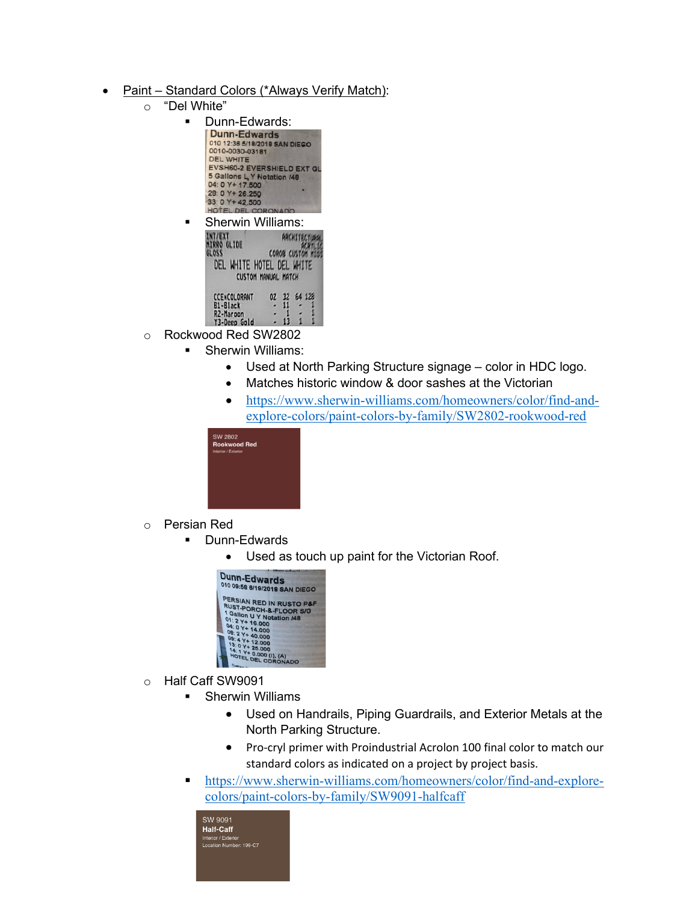- Paint Standard Colors (\*Always Verify Match):
	- o "Del White"
		- **Dunn-Edwards:**

| <b>Dunn-Edwards</b>           |  |  |  |  |  |
|-------------------------------|--|--|--|--|--|
| 010 12:36 5/18/2018 SAN DIEGO |  |  |  |  |  |
| 0010-0030-03181               |  |  |  |  |  |
| <b>DEL WHITE</b>              |  |  |  |  |  |
| EVSH60-2 EVERSHIELD EXT GL    |  |  |  |  |  |
| 5 Gallons L Y Notation /48    |  |  |  |  |  |
| 04: 0 Y+ 17.500               |  |  |  |  |  |
| 28: 0 Y + 26.250              |  |  |  |  |  |
| 33: 0 Y+42.500                |  |  |  |  |  |
| HOTEL DEL CORONAD             |  |  |  |  |  |

| <b>Sherwin Williams:</b>                                |              |    |  |        |  |  |
|---------------------------------------------------------|--------------|----|--|--------|--|--|
| <b>GLIDE</b>                                            | COROB CUSTOM |    |  |        |  |  |
| DEL WHITE HOTEL DEL WHITE<br><b>CUSTOM MANUAL MATCH</b> |              |    |  |        |  |  |
| <b>CCENCOLORANT</b><br>B1-Black                         | 02           | 32 |  | 64 123 |  |  |
| R <sub>2</sub> -Maroon<br>Y3-Deep Gold                  |              |    |  |        |  |  |

- o Rockwood Red SW2802
	- Sherwin Williams:
		- Used at North Parking Structure signage color in HDC logo.
		- Matches historic window & door sashes at the Victorian
		- [https://www.sherwin-williams.com/homeowners/color/find-and](https://www.sherwin-williams.com/homeowners/color/find-and-explore-colors/paint-colors-by-family/SW2802-rookwood-red)[explore-colors/paint-colors-by-family/SW2802-rookwood-red](https://www.sherwin-williams.com/homeowners/color/find-and-explore-colors/paint-colors-by-family/SW2802-rookwood-red)



- o Persian Red<br>Dunn
	- Dunn-Edwards
		- Used as touch up paint for the Victorian Roof.



- o Half Caff SW9091
	- **Sherwin Williams** 
		- Used on Handrails, Piping Guardrails, and Exterior Metals at the North Parking Structure.
		- Pro-cryl primer with Proindustrial Acrolon 100 final color to match our standard colors as indicated on a project by project basis.
	- [https://www.sherwin-williams.com/homeowners/color/find-and-explore](https://www.sherwin-williams.com/homeowners/color/find-and-explore-colors/paint-colors-by-family/SW9091-halfcaff)[colors/paint-colors-by-family/SW9091-halfcaff](https://www.sherwin-williams.com/homeowners/color/find-and-explore-colors/paint-colors-by-family/SW9091-halfcaff)

| SW 9091                 |
|-------------------------|
| <b>Half-Caff</b>        |
| Interior / Exterior     |
| Location Number: 199-C7 |
|                         |
|                         |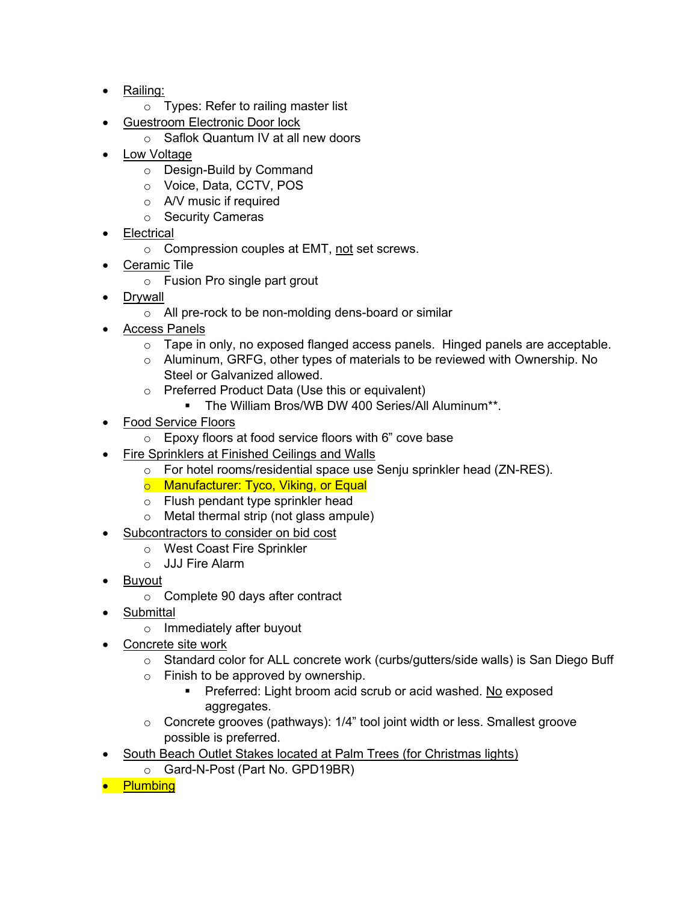- Railing:
	- o Types: Refer to railing master list
- Guestroom Electronic Door lock
	- o Saflok Quantum IV at all new doors
- **Low Voltage** 
	- o Design-Build by Command
	- o Voice, Data, CCTV, POS
	- o A/V music if required
	- o Security Cameras
- **Electrical** 
	- o Compression couples at EMT, not set screws.
- Ceramic Tile
	- o Fusion Pro single part grout
- **Drvwall** 
	- o All pre-rock to be non-molding dens-board or similar
- Access Panels
	- o Tape in only, no exposed flanged access panels. Hinged panels are acceptable.
	- $\circ$  Aluminum, GRFG, other types of materials to be reviewed with Ownership. No Steel or Galvanized allowed.
	- o Preferred Product Data (Use this or equivalent)
		- **The William Bros/WB DW 400 Series/All Aluminum\*\*.**
- **Food Service Floors** 
	- o Epoxy floors at food service floors with 6" cove base
- Fire Sprinklers at Finished Ceilings and Walls
	- o For hotel rooms/residential space use Senju sprinkler head (ZN-RES).
	- o Manufacturer: Tyco, Viking, or Equal
	- o Flush pendant type sprinkler head
	- o Metal thermal strip (not glass ampule)
	- Subcontractors to consider on bid cost
		- o West Coast Fire Sprinkler
		- o JJJ Fire Alarm
- Buyout
	- o Complete 90 days after contract
- Submittal
	- o Immediately after buyout
- Concrete site work
	- $\circ$  Standard color for ALL concrete work (curbs/gutters/side walls) is San Diego Buff
	- o Finish to be approved by ownership.
		- **Preferred: Light broom acid scrub or acid washed. No exposed** aggregates.
	- $\circ$  Concrete grooves (pathways): 1/4" tool joint width or less. Smallest groove possible is preferred.
- South Beach Outlet Stakes located at Palm Trees (for Christmas lights)
	- o Gard-N-Post (Part No. GPD19BR)
- Plumbing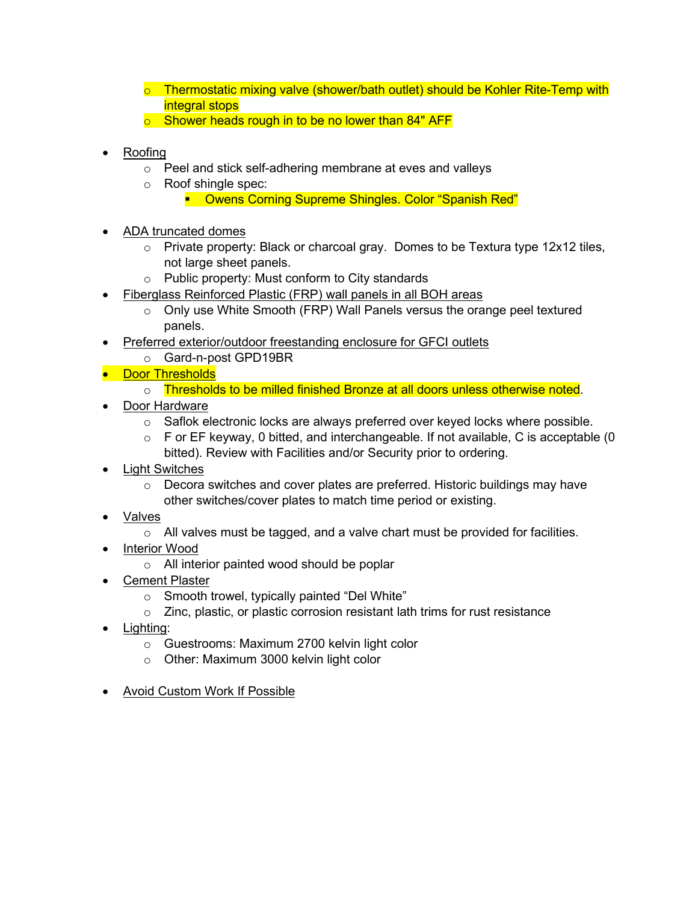- $\circ$  Thermostatic mixing valve (shower/bath outlet) should be Kohler Rite-Temp with integral stops
- $\circ$  Shower heads rough in to be no lower than 84" AFF
- Roofing
	- o Peel and stick self-adhering membrane at eves and valleys
	- o Roof shingle spec:
		- **Owens Corning Supreme Shingles. Color "Spanish Red"**
- ADA truncated domes
	- $\circ$  Private property: Black or charcoal gray. Domes to be Textura type 12x12 tiles, not large sheet panels.
	- o Public property: Must conform to City standards
- Fiberglass Reinforced Plastic (FRP) wall panels in all BOH areas
	- $\circ$  Only use White Smooth (FRP) Wall Panels versus the orange peel textured panels.
- Preferred exterior/outdoor freestanding enclosure for GFCI outlets
	- o Gard-n-post GPD19BR
- **•** Door Thresholds
	- o Thresholds to be milled finished Bronze at all doors unless otherwise noted.
- Door Hardware
	- $\circ$  Saflok electronic locks are always preferred over keyed locks where possible.
	- $\circ$  F or EF keyway, 0 bitted, and interchangeable. If not available, C is acceptable (0 bitted). Review with Facilities and/or Security prior to ordering.
- Light Switches
	- $\circ$  Decora switches and cover plates are preferred. Historic buildings may have other switches/cover plates to match time period or existing.
- Valves
	- o All valves must be tagged, and a valve chart must be provided for facilities.
- Interior Wood
	- o All interior painted wood should be poplar
- Cement Plaster
	- o Smooth trowel, typically painted "Del White"
	- o Zinc, plastic, or plastic corrosion resistant lath trims for rust resistance
- Lighting:
	- o Guestrooms: Maximum 2700 kelvin light color
	- o Other: Maximum 3000 kelvin light color
- Avoid Custom Work If Possible